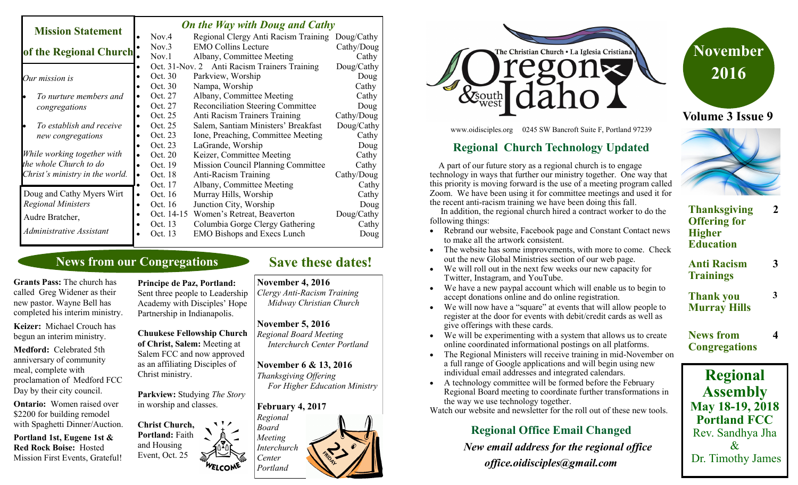#### *On the Way with Doug and Cathy*

| <b>Mission Statement</b>        |           | <b>On the fruy with Doug and Cathy</b> |                                           |            |  |
|---------------------------------|-----------|----------------------------------------|-------------------------------------------|------------|--|
|                                 |           | Nov.4                                  | Regional Clergy Anti Racism Training      | Doug/Cathy |  |
| of the Regional Church          |           | Nov.3                                  | <b>EMO Collins Lecture</b>                | Cathy/Doug |  |
|                                 |           | Nov.1                                  | Albany, Committee Meeting                 | Cathy      |  |
|                                 |           | Oct. 31-Nov. 2                         | <b>Anti Racism Trainers Training</b>      | Doug/Cathy |  |
| Our mission is                  |           | Oct. 30                                | Parkview, Worship                         | Doug       |  |
|                                 |           | Oct. 30                                | Nampa, Worship                            | Cathy      |  |
| To nurture members and          |           | Oct. 27                                | Albany, Committee Meeting                 | Cathy      |  |
| congregations                   |           | Oct. 27                                | <b>Reconciliation Steering Committee</b>  | Doug       |  |
|                                 |           | Oct. 25                                | Anti Racism Trainers Training             | Cathy/Doug |  |
| To establish and receive        | ٠         | Oct. 25                                | Salem, Santiam Ministers' Breakfast       | Doug/Cathy |  |
| new congregations               |           | Oct. 23                                | Ione, Preaching, Committee Meeting        | Cathy      |  |
|                                 |           | Oct. 23                                | LaGrande, Worship                         | Doug       |  |
| While working together with     |           | Oct. 20                                | Keizer, Committee Meeting                 | Cathy      |  |
| the whole Church to do          |           | Oct. 19                                | <b>Mission Council Planning Committee</b> | Cathy      |  |
| Christ's ministry in the world. | $\bullet$ | Oct. 18                                | Anti-Racism Training                      | Cathy/Doug |  |
|                                 |           | Oct. 17                                | Albany, Committee Meeting                 | Cathy      |  |
| Doug and Cathy Myers Wirt       | $\bullet$ | Oct. 16                                | Murray Hills, Worship                     | Cathy      |  |
| <b>Regional Ministers</b>       |           | Oct. 16                                | Junction City, Worship                    | Doug       |  |
| Audre Bratcher,                 |           | Oct. 14-15                             | Women's Retreat, Beaverton                | Doug/Cathy |  |
|                                 |           | Oct. 13                                | Columbia Gorge Clergy Gathering           | Cathy      |  |
| Administrative Assistant        |           | Oct. 13                                | <b>EMO Bishops and Execs Lunch</b>        | Doug       |  |
|                                 |           |                                        |                                           |            |  |

# **News from our Congregations**

**Grants Pass:** The church has called Greg Widener as their new pastor. Wayne Bell has completed his interim ministry.

**Keizer:** Michael Crouch has begun an interim ministry.

**Medford:** Celebrated 5th anniversary of community meal, complete with proclamation of Medford FCC Day by their city council.

**Ontario:** Women raised over \$2200 for building remodel with Spaghetti Dinner/Auction.

**Portland 1st, Eugene 1st & Red Rock Boise:** Hosted Mission First Events, Grateful!

**Principe de Paz, Portland:**  Sent three people to Leadership Academy with Disciples' Hope Partnership in Indianapolis.

**Chuukese Fellowship Church of Christ, Salem:** Meeting at Salem FCC and now approved as an affiliating Disciples of Christ ministry.

**Parkview:** Studying *The Story* in worship and classes.

**Christ Church, Portland:** Faith and Housing Event, Oct. 25

# **Save these dates!**

#### **November 4, 2016**

*Clergy Anti-Racism Training Midway Christian Church*

#### **November 5, 2016**

*Regional Board Meeting Interchurch Center Portland*

**November 6 & 13, 2016** *Thanksgiving Offering For Higher Education Ministry*





www.oidisciples.org 0245 SW Bancroft Suite F, Portland 97239

### **Regional Church Technology Updated**

 A part of our future story as a regional church is to engage technology in ways that further our ministry together. One way that this priority is moving forward is the use of a meeting program called Zoom. We have been using it for committee meetings and used it for the recent anti-racism training we have been doing this fall.

 In addition, the regional church hired a contract worker to do the following things:

- Rebrand our website, Facebook page and Constant Contact news to make all the artwork consistent.
- The website has some improvements, with more to come. Check out the new Global Ministries section of our web page.
- We will roll out in the next few weeks our new capacity for Twitter, Instagram, and YouTube.
- We have a new paypal account which will enable us to begin to accept donations online and do online registration.
- We will now have a "square" at events that will allow people to register at the door for events with debit/credit cards as well as give offerings with these cards.
- We will be experimenting with a system that allows us to create online coordinated informational postings on all platforms.
- The Regional Ministers will receive training in mid-November on a full range of Google applications and will begin using new individual email addresses and integrated calendars.
- A technology committee will be formed before the February Regional Board meeting to coordinate further transformations in the way we use technology together.

Watch our website and newsletter for the roll out of these new tools.

# **Regional Office Email Changed**

 *New email address for the regional office office.oidisciples@gmail.com*





- **Thanksgiving Offering for Higher Education 2**
- **Anti Racism Trainings 3**

**3**

**4**

- **Thank you Murray Hills**
- **News from Congregations**